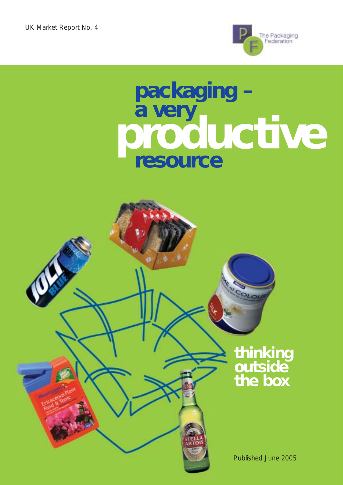

# **packaging – a very resource productive**

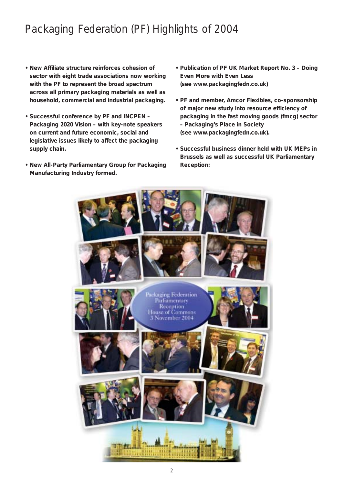# Packaging Federation (PF) Highlights of 2004

- **New Affiliate structure reinforces cohesion of sector with eight trade associations now working with the PF to represent the broad spectrum across all primary packaging materials as well as household, commercial and industrial packaging.**
- **Successful conference by PF and INCPEN –** *Packaging 2020 Vision* **– with key-note speakers on current and future economic, social and legislative issues likely to affect the packaging supply chain.**
- **New All-Party Parliamentary Group for Packaging Manufacturing Industry formed.**
- **Publication of PF UK Market Report No. 3** *Doing Even More with Even Less* **(see www.packagingfedn.co.uk)**
- **PF and member, Amcor Flexibles, co-sponsorship of major new study into resource efficiency of packaging in the fast moving goods (fmcg) sector –** *Packaging's Place in Society* **(see www.packagingfedn.co.uk).**
- **Successful business dinner held with UK MEPs in Brussels as well as successful UK Parliamentary Reception:**

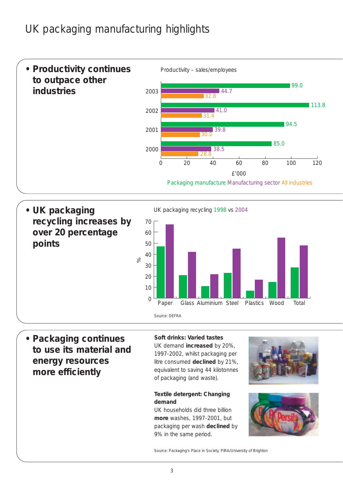# UK packaging manufacturing highlights



UK packaging recycling 1998 vs 2004



**• Packaging continues to use its material and energy resources more efficiently**

**• UK packaging**

**points**

**recycling increases by**

**over 20 percentage**

### **Soft drinks: Varied tastes**

UK demand **increased** by 20%, 1997-2002, whilst packaging per litre consumed **declined** by 21%, equivalent to saving 44 kilotonnes of packaging (and waste).

### **Textile detergent: Changing demand**

UK households did three billion **more** washes, 1997-2001, but packaging per wash **declined** by 9% in the same period.





Source: *Packaging's Place in Society,* PIRA/University of Brighton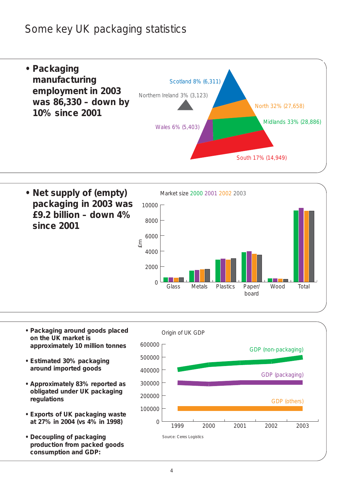## Some key UK packaging statistics





- **Packaging around goods placed on the UK market is approximately 10 million tonnes**
- **Estimated 30% packaging around imported goods**
- **Approximately 83% reported as obligated under UK packaging regulations**
- **Exports of UK packaging waste at 27% in 2004 (vs 4% in 1998)**
- **Decoupling of packaging production from packed goods consumption and GDP:**

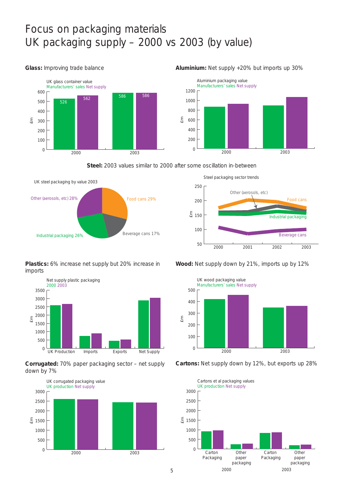## Focus on packaging materials UK packaging supply – 2000 vs 2003 (by value)



#### **Glass:** Improving trade balance **Aluminium:** Net supply +20% but imports up 30%



**Steel:** 2003 values similar to 2000 after some oscillation in-between



**Plastics:** 6% increase net supply but 20% increase in imports



**Corrugated:** 70% paper packaging sector – net supply down by 7%











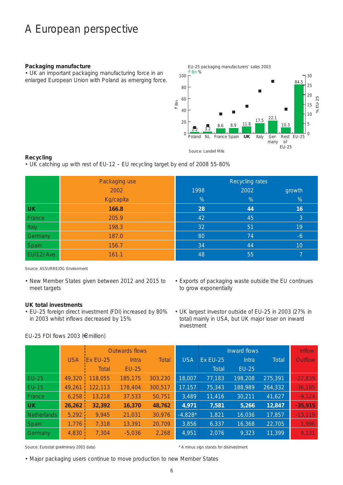## A European perspective

#### **Packaging manufacture**

• UK an important packaging manufacturing force in an enlarged European Union with Poland as emerging force.



### **Recycling**

• UK catching up with rest of EU-12 – EU recycling target by end of 2008 55-80%

|             | Packaging use |      | Recycling rates |        |
|-------------|---------------|------|-----------------|--------|
|             | 2002          | 1998 | 2002            | growth |
|             | Kg/capita     | %    | %               | %      |
| <b>UK</b>   | 166.8         | 28   | 44              | 16     |
| France      | 205.9         | 42   | 45              | 3      |
| Italy       | 198.3         | 32   | 51              | 19     |
| Germany     | 187.0         | 80   | 74              | $-6$   |
| Spain       | 156.7         | 34   | 44              | 10     |
| EU(12) Ave. | 161.1         | 48   | 55              |        |

Source: ASSURRE/DG Environment

• New Member States given between 2012 and 2015 to meet targets

### **UK total investments**

- EU-25 foreign direct investment (FDI) increased by 80% in 2003 whilst inflows decreased by 15%
- Exports of packaging waste outside the EU continues to grow exponentially
- UK largest investor outside of EU-25 in 2003 (27% in total) mainly in USA, but UK major loser on inward investment

|                    |            | Outwards flows   |          |              |            | Inward flows | Inflow: |         |                |
|--------------------|------------|------------------|----------|--------------|------------|--------------|---------|---------|----------------|
|                    | <b>USA</b> | <b>iEx EU-25</b> | Intra    | <b>Total</b> | <b>USA</b> | Ex EU-25     | Intra   | Total   | <b>Outflow</b> |
|                    |            | Total            | $EU-25$  |              |            | Total        | $EU-25$ |         |                |
| $EU-25$            | 49,320     | 118,055          | 185,175  | 303,230      | 18,007     | 77,183       | 198,208 | 275,391 | $-27,839$      |
| <b>EU-15</b>       | 49.261     | 122,113          | 178,404  | 300,517      | 17,157     | 75,343       | 188,989 | 264,332 | $-36,185$      |
| France             | 6,258      | 13,218           | 37,533   | 50,751       | 3,489      | 11,416       | 30,211  | 41,627  | $-9,124$       |
| <b>UK</b>          | 26,262     | 32,392           | 16,370   | 48,762       | 4,971      | 7,581        | 5,266   | 12,847  | $-35,915$      |
| <b>Netherlands</b> | 5,292      | 9,945            | 21,031   | 30,976       | $-4,828*$  | 1,821        | 16,036  | 17,857  | $-13,119$      |
| Spain              | 1,776      | 7,318            | 13,391   | 20,709       | 3,856      | 6,337        | 16,368  | 22,705  | 1,996          |
| Germany            | 4,830      | 7,304            | $-5,036$ | 2,268        | 4,951      | 2,076        | 9,323   | 11,399  | 9,131          |

Source: Eurostat (preliminary 2003 data)  $* A$  minus sign stands for disinvestment

• Major packaging users continue to move production to new Member States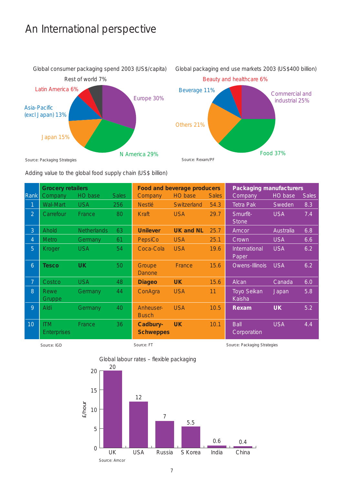## An International perspective



Global packaging end use markets 2003 (US\$400 billion)



Adding value to the global food supply chain (US\$ billion)

|                | <b>Grocery retailers</b>         |                    |              | <b>Food and beverage producers</b> |                  |              | <b>Packaging manufacturers</b> |            |              |
|----------------|----------------------------------|--------------------|--------------|------------------------------------|------------------|--------------|--------------------------------|------------|--------------|
| Rank           | Company                          | HO base            | <b>Sales</b> | Company                            | HO base          | <b>Sales</b> | Company                        | HO base    | <b>Sales</b> |
| 1              | Wal-Mart                         | <b>USA</b>         | 256          | <b>Nestlé</b>                      | Switzerland      | 54.3         | Tetra Pak                      | Sweden     | 8.3          |
| $\overline{2}$ | Carrefour                        | France             | 80           | Kraft                              | <b>USA</b>       | 29.7         | Smurfit-<br><b>Stone</b>       | <b>USA</b> | 7.4          |
| $\overline{3}$ | Ahold                            | <b>Netherlands</b> | 63           | <b>Unilever</b>                    | <b>UK and NL</b> | 25.7         | Amcor                          | Australia  | 6.8          |
| $\overline{4}$ | <b>Metro</b>                     | Germany            | 61           | PepsiCo                            | <b>USA</b>       | 25.1         | Crown                          | <b>USA</b> | 6.6          |
| 5              | Kroger                           | <b>USA</b>         | 54           | Coca-Cola                          | <b>USA</b>       | 19.6         | International<br>Paper         | <b>USA</b> | 6.2          |
| 6              | <b>Tesco</b>                     | <b>UK</b>          | 50           | Groupe<br><b>Danone</b>            | France           | 15.6         | Owens-Illinois                 | <b>USA</b> | 6.2          |
| 7 <sup>1</sup> | Costco                           | <b>USA</b>         | 48           | <b>Diageo</b>                      | <b>UK</b>        | 15.6         | Alcan                          | Canada     | 6.0          |
| 8              | Rewe<br><b>Gruppe</b>            | Germany            | 44           | ConAgra                            | <b>USA</b>       | 11           | Toyo Seikan<br>Kaisha          | Japan      | 5.8          |
| 9              | Aldi                             | Germany            | 40           | Anheuser-<br><b>Busch</b>          | <b>USA</b>       | 10.5         | Rexam                          | <b>UK</b>  | 5.2          |
| 10             | <b>ITM</b><br><b>Enterprises</b> | France             | 36           | Cadbury-<br><b>Schweppes</b>       | <b>UK</b>        | 10.1         | Ball<br>Corporation            | <b>USA</b> | 4.4          |



Source: IGD Source: FT Source: FT Source: Packaging Strategies

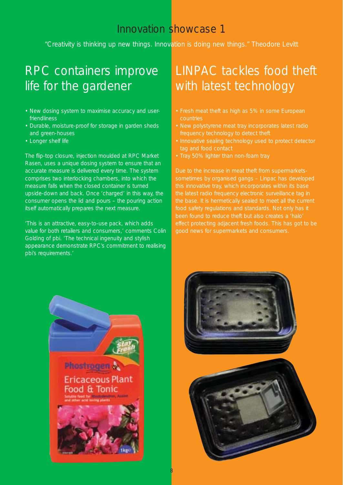*"Creativity is thinking up new things. Innovation is doing new things." Theodore Levitt*

# RPC containers improve life for the gardener

- New dosing system to maximise accuracy and userfriendliness
- Durable, moisture-proof for storage in garden sheds and green-houses
- Longer shelf life

The flip-top closure, injection moulded at RPC Market Rasen, uses a unique dosing system to ensure that an accurate measure is delivered every time. The system comprises two interlocking chambers, into which the measure falls when the closed container is turned upside-down and back. Once 'charged' in this way, the consumer opens the lid and pours – the pouring action itself automatically prepares the next measure.

'This is an attractive, easy-to-use pack, which adds value for both retailers and consumers,' comments Colin Golding of pbi. 'The technical ingenuity and stylish appearance demonstrate RPC's commitment to realising pbi's requirements.'

# LINPAC tackles food theft with latest technology

- Fresh meat theft as high as 5% in some European countries
- New polystyrene meat tray incorporates latest radio frequency technology to detect theft
- Innovative sealing technology used to protect detector tag and food contact
- Tray 50% lighter than non-foam tray

Due to the increase in meat theft from supermarketssometimes by organised gangs – Linpac has developed this innovative tray, which incorporates within its base the latest radio frequency electronic surveillance tag in the base. It is hermetically sealed to meet all the current food safety regulations and standards. Not only has it been found to reduce theft but also creates a 'halo' effect protecting adjacent fresh foods. This has got to be good news for supermarkets and consumers.



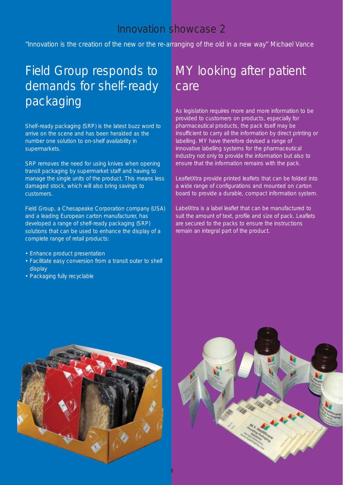*"Innovation is the creation of the new or the re-arranging of the old in a new way" Michael Vance*

# Field Group responds to demands for shelf-ready packaging

Shelf-ready packaging (SRP) is the latest buzz word to arrive on the scene and has been heralded as the number one solution to on-shelf availability in supermarkets.

SRP removes the need for using knives when opening transit packaging by supermarket staff and having to manage the single units of the product. This means less damaged stock, which will also bring savings to customers.

Field Group, a Chesapeake Corporation company (USA) and a leading European carton manufacturer, has developed a range of shelf-ready packaging (SRP) solutions that can be used to enhance the display of a complete range of retail products:

- Enhance product presentation
- Facilitate easy conversion from a transit outer to shelf display
- Packaging fully recyclable

# MY looking after patient care

As legislation requires more and more information to be provided to customers on products, especially for pharmaceutical products, the pack itself may be insufficient to carry all the information by direct printing or labelling. MY have therefore devised a range of innovative labelling systems for the pharmaceutical industry not only to provide the information but also to ensure that the information remains with the pack.

*LeafletXtra* provide printed leaflets that can be folded into a wide range of configurations and mounted on carton board to provide a durable, compact information system.

*LabelXtra* is a label leaflet that can be manufactured to suit the amount of text, profile and size of pack. Leaflets are secured to the packs to ensure the instructions remain an integral part of the product.



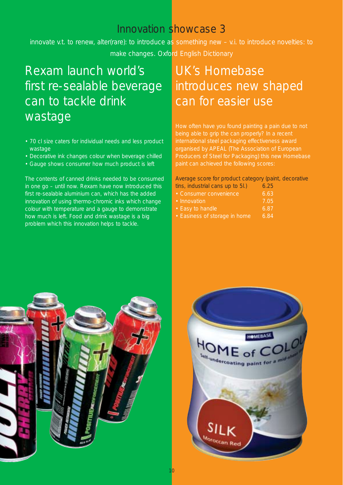*innovate v.t. to renew, alter(rare): to introduce as something new – v.i. to introduce novelties: to make changes. Oxford English Dictionary*

# Rexam launch world's first re-sealable beverage can to tackle drink wastage

- 70 cl size caters for individual needs and less product wastage
- Decorative ink changes colour when beverage chilled
- Gauge shows consumer how much product is left

The contents of canned drinks needed to be consumed in one go – until now. Rexam have now introduced this first re-sealable aluminium can, which has the added innovation of using thermo-chromic inks which change colour with temperature and a gauge to demonstrate how much is left. Food and drink wastage is a big problem which this innovation helps to tackle.

# UK's Homebase introduces new shaped can for easier use

being able to grip the can properly? In a recent international steel packaging effectiveness award organised by APEAL (The Association of European Producers of Steel for Packaging) this new Homebase paint can achieved the following scores:

Average score for product category (paint, decorative tins, industrial cans up to 5l.) 6.25

- Consumer convenience 6.63
- Innovation 7.05
- Easy to handle 6.87
- Easiness of storage in home 6.84



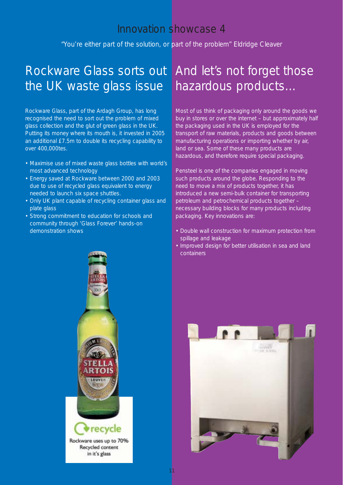*"You're either part of the solution, or part of the problem" Eldridge Cleaver*

# Rockware Glass sorts out And let's not forget those the UK waste glass issue

Rockware Glass, part of the Ardagh Group, has long recognised the need to sort out the problem of mixed glass collection and the glut of green glass in the UK. Putting its money where its mouth is, it invested in 2005 an additional £7.5m to double its recycling capability to over 400,000tes.

- Maximise use of mixed waste glass bottles with world's most advanced technology
- Energy saved at Rockware between 2000 and 2003 due to use of recycled glass equivalent to energy needed to launch six space shuttles.
- Only UK plant capable of recycling container glass and plate glass
- Strong commitment to education for schools and community through 'Glass Forever' hands-on demonstration shows

# hazardous products…

Most of us think of packaging only around the goods we buy in stores or over the internet – but approximately half the packaging used in the UK is employed for the transport of raw materials, products and goods between manufacturing operations or importing whether by air, land or sea. Some of these many products are hazardous, and therefore require special packaging.

Pensteel is one of the companies engaged in moving such products around the globe. Responding to the need to move a mix of products together, it has introduced a new semi-bulk container for transporting petroleum and petrochemical products together – necessary building blocks for many products including packaging. Key innovations are:

- Double wall construction for maximum protection from spillage and leakage
- Improved design for better utilisation in sea and land containers